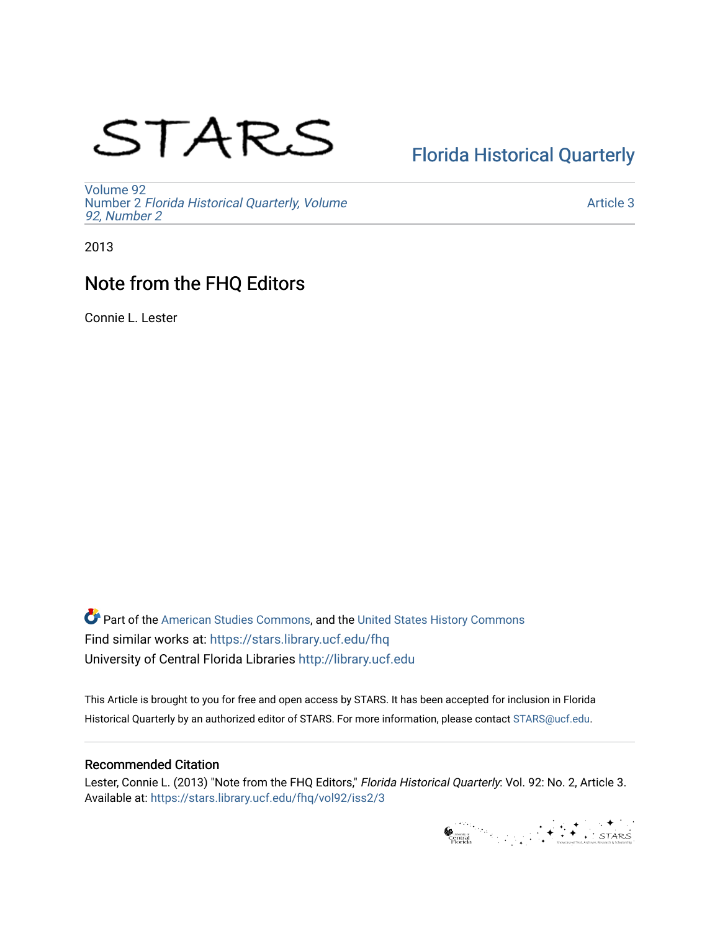# STARS

## [Florida Historical Quarterly](https://stars.library.ucf.edu/fhq)

[Volume 92](https://stars.library.ucf.edu/fhq/vol92) Number 2 [Florida Historical Quarterly, Volume](https://stars.library.ucf.edu/fhq/vol92/iss2)  [92, Number 2](https://stars.library.ucf.edu/fhq/vol92/iss2)

[Article 3](https://stars.library.ucf.edu/fhq/vol92/iss2/3) 

2013

## Note from the FHQ Editors

Connie L. Lester

**C** Part of the [American Studies Commons](http://network.bepress.com/hgg/discipline/439?utm_source=stars.library.ucf.edu%2Ffhq%2Fvol92%2Fiss2%2F3&utm_medium=PDF&utm_campaign=PDFCoverPages), and the United States History Commons Find similar works at: <https://stars.library.ucf.edu/fhq> University of Central Florida Libraries [http://library.ucf.edu](http://library.ucf.edu/) 

This Article is brought to you for free and open access by STARS. It has been accepted for inclusion in Florida Historical Quarterly by an authorized editor of STARS. For more information, please contact [STARS@ucf.edu.](mailto:STARS@ucf.edu)

#### Recommended Citation

Lester, Connie L. (2013) "Note from the FHQ Editors," Florida Historical Quarterly: Vol. 92: No. 2, Article 3. Available at: [https://stars.library.ucf.edu/fhq/vol92/iss2/3](https://stars.library.ucf.edu/fhq/vol92/iss2/3?utm_source=stars.library.ucf.edu%2Ffhq%2Fvol92%2Fiss2%2F3&utm_medium=PDF&utm_campaign=PDFCoverPages) 

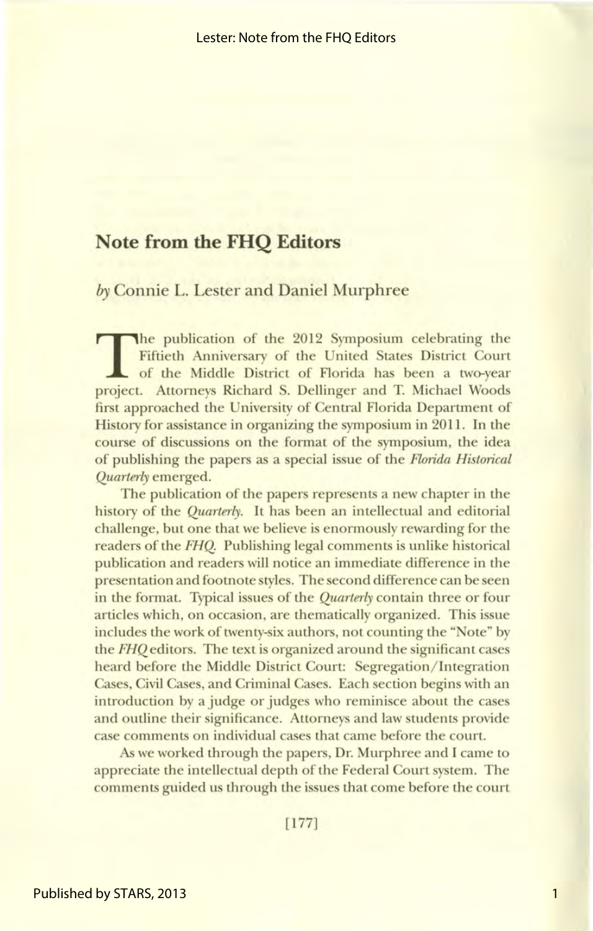### **Note from the FHQ Editors**

by Connie L. Lester and Daniel Murphree

The publication of the 2012 Symposium celebrating the Fiftieth Anniversary of the United States District Court of the Middle District of Florida has been a two-year project. Attorneys Richard S. Dellinger and T. Michael Woods first approached the University of Central Florida Department of History for assistance in organizing the symposium in 2011. In the course of discussions on the format of the symposium, the idea of publishing the papers as a special issue of the *Florida Historical Quarterly* emerged.

The publication of the papers represents a new chapter in the history of the *Quarterly.* It has been an intellectual and editorial challenge, but one that we believe is enormously rewarding for the readers of the **FHQ**. Publishing legal comments is unlike historical publication and readers will notice an immediate difference in the presentation and footnote styles. The second difference can be seen in the format. Typical issues of the *Quarterly* contain three or four articles which, on occasion, are thematically organized. This issue includes the work of twenty-six authors, not counting the "Note" by the *FHQ* editors. The text is organized around the significant cases heard before the Middle District Court: Segregation/ Integration Cases, Civil Cases, and Criminal Cases. Each section begins with an introduction by a judge or judges who reminisce about the cases and outline their significance. Attorneys and law students provide case comments on individual cases that came before the court.

As we worked through the papers, Dr. Murphree and I came to appreciate the intellectual depth of the Federal Court system. The comments guided us through the issues that come before the court

[177]

1